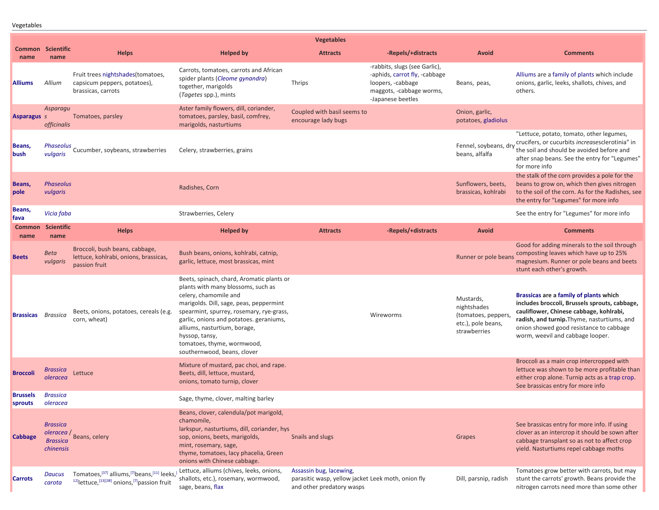Vegetables

|                           |                                                                             |                                                                                                                                                                                  |                                                                                                                                                                                                                                                                                                                                                           | <b>Vegetables</b>                                                                                          |                                                                                                                                      |                                                                                       |                                                                                                                                                                                                                                                                  |
|---------------------------|-----------------------------------------------------------------------------|----------------------------------------------------------------------------------------------------------------------------------------------------------------------------------|-----------------------------------------------------------------------------------------------------------------------------------------------------------------------------------------------------------------------------------------------------------------------------------------------------------------------------------------------------------|------------------------------------------------------------------------------------------------------------|--------------------------------------------------------------------------------------------------------------------------------------|---------------------------------------------------------------------------------------|------------------------------------------------------------------------------------------------------------------------------------------------------------------------------------------------------------------------------------------------------------------|
| name                      | <b>Common Scientific</b><br>name                                            | <b>Helps</b>                                                                                                                                                                     | <b>Helped by</b>                                                                                                                                                                                                                                                                                                                                          | <b>Attracts</b>                                                                                            | -Repels/+distracts                                                                                                                   | Avoid                                                                                 | <b>Comments</b>                                                                                                                                                                                                                                                  |
| <b>Alliums</b>            | Allium                                                                      | Fruit trees nightshades(tomatoes,<br>capsicum peppers, potatoes),<br>brassicas, carrots                                                                                          | Carrots, tomatoes, carrots and African<br>spider plants (Cleome gynandra)<br>together, marigolds<br>(Tagetes spp.), mints                                                                                                                                                                                                                                 | Thrips                                                                                                     | -rabbits, slugs (see Garlic),<br>-aphids, carrot fly, -cabbage<br>loopers, -cabbage<br>maggots, -cabbage worms,<br>-Japanese beetles | Beans, peas,                                                                          | Alliums are a family of plants which include<br>onions, garlic, leeks, shallots, chives, and<br>others.                                                                                                                                                          |
| <b>Asparagus s</b>        | Asparagu<br><i>officinalis</i>                                              | Tomatoes, parsley                                                                                                                                                                | Aster family flowers, dill, coriander,<br>tomatoes, parsley, basil, comfrey,<br>marigolds, nasturtiums                                                                                                                                                                                                                                                    | Coupled with basil seems to<br>encourage lady bugs                                                         |                                                                                                                                      | Onion, garlic,<br>potatoes, gladiolus                                                 |                                                                                                                                                                                                                                                                  |
| Beans,<br><b>bush</b>     | Phaseolus<br>vulgaris                                                       | Cucumber, soybeans, strawberries                                                                                                                                                 | Celery, strawberries, grains                                                                                                                                                                                                                                                                                                                              |                                                                                                            |                                                                                                                                      | Fennel, soybeans, dr<br>beans, alfalfa                                                | "Lettuce, potato, tomato, other legumes,<br>crucifers, or cucurbits increasesclerotinia" in<br>the soil and should be avoided before and<br>after snap beans. See the entry for "Legumes"<br>for more info                                                       |
| Beans,<br>pole            | <b>Phaseolus</b><br>vulgaris                                                |                                                                                                                                                                                  | Radishes, Corn                                                                                                                                                                                                                                                                                                                                            |                                                                                                            |                                                                                                                                      | Sunflowers, beets,<br>brassicas, kohlrabi                                             | the stalk of the corn provides a pole for the<br>beans to grow on, which then gives nitrogen<br>to the soil of the corn. As for the Radishes, see<br>the entry for "Legumes" for more info                                                                       |
| Beans,<br>fava            | Vicia faba                                                                  |                                                                                                                                                                                  | Strawberries, Celery                                                                                                                                                                                                                                                                                                                                      |                                                                                                            |                                                                                                                                      |                                                                                       | See the entry for "Legumes" for more info                                                                                                                                                                                                                        |
| <b>Common</b><br>name     | <b>Scientific</b><br>name                                                   | <b>Helps</b>                                                                                                                                                                     | <b>Helped by</b>                                                                                                                                                                                                                                                                                                                                          | <b>Attracts</b>                                                                                            | -Repels/+distracts                                                                                                                   | Avoid                                                                                 | <b>Comments</b>                                                                                                                                                                                                                                                  |
| <b>Beets</b>              | <b>Beta</b><br>vulgaris                                                     | Broccoli, bush beans, cabbage,<br>lettuce, kohlrabi, onions, brassicas,<br>passion fruit                                                                                         | Bush beans, onions, kohlrabi, catnip,<br>garlic, lettuce, most brassicas, mint                                                                                                                                                                                                                                                                            |                                                                                                            |                                                                                                                                      | Runner or pole beans                                                                  | Good for adding minerals to the soil through<br>composting leaves which have up to 25%<br>magnesium. Runner or pole beans and beets<br>stunt each other's growth.                                                                                                |
| <b>Brassicas</b> Brassica |                                                                             | Beets, onions, potatoes, cereals (e.g.<br>corn, wheat)                                                                                                                           | Beets, spinach, chard, Aromatic plants or<br>plants with many blossoms, such as<br>celery, chamomile and<br>marigolds. Dill, sage, peas, peppermint<br>spearmint, spurrey, rosemary, rye-grass,<br>garlic, onions and potatoes. geraniums,<br>alliums, nasturtium, borage,<br>hyssop, tansy,<br>tomatoes, thyme, wormwood,<br>southernwood, beans, clover |                                                                                                            | Wireworms                                                                                                                            | Mustards,<br>nightshades<br>(tomatoes, peppers)<br>etc.), pole beans,<br>strawberries | Brassicas are a family of plants which<br>includes broccoli, Brussels sprouts, cabbage,<br>cauliflower, Chinese cabbage, kohlrabi,<br>radish, and turnip. Thyme, nasturtiums, and<br>onion showed good resistance to cabbage<br>worm, weevil and cabbage looper. |
| <b>Broccoli</b>           | Brassica<br>oleracea                                                        | Lettuce                                                                                                                                                                          | Mixture of mustard, pac choi, and rape.<br>Beets, dill, lettuce, mustard,<br>onions, tomato turnip, clover                                                                                                                                                                                                                                                |                                                                                                            |                                                                                                                                      |                                                                                       | Broccoli as a main crop intercropped with<br>lettuce was shown to be more profitable than<br>either crop alone. Turnip acts as a trap crop.<br>See brassicas entry for more info                                                                                 |
| Brussels<br>sprouts       | <b>Brassica</b><br>oleracea                                                 |                                                                                                                                                                                  | Sage, thyme, clover, malting barley                                                                                                                                                                                                                                                                                                                       |                                                                                                            |                                                                                                                                      |                                                                                       |                                                                                                                                                                                                                                                                  |
| Cabbage                   | <b>Brassica</b><br>oleracea /<br><b>Brassica</b><br><i><b>chinensis</b></i> | Beans, celery                                                                                                                                                                    | Beans, clover, calendula/pot marigold,<br>chamomile,<br>larkspur, nasturtiums, dill, coriander, hys<br>sop, onions, beets, marigolds,<br>mint, rosemary, sage,<br>thyme, tomatoes, lacy phacelia, Green<br>onions with Chinese cabbage.                                                                                                                   | Snails and slugs                                                                                           |                                                                                                                                      | Grapes                                                                                | See brassicas entry for more info. If using<br>clover as an intercrop it should be sown after<br>cabbage transplant so as not to affect crop<br>yield. Nasturtiums repel cabbage moths                                                                           |
| <b>Carrots</b>            | <b>Daucus</b><br>carota                                                     | Tomatoes, <a>[37]</a> alliums, <a>[7]</a> beans,[11] leeks, <a>[11]</a> leeks,  leeks, <a>[<br/><sup>12]</sup>lettuce,<sup>[13][38]</sup> onions,<sup>[7]</sup>passion fruit</a> | Lettuce, alliums (chives, leeks, onions,<br>shallots, etc.), rosemary, wormwood,<br>sage, beans, flax                                                                                                                                                                                                                                                     | Assassin bug, lacewing,<br>parasitic wasp, yellow jacket Leek moth, onion fly<br>and other predatory wasps |                                                                                                                                      | Dill, parsnip, radish                                                                 | Tomatoes grow better with carrots, but may<br>stunt the carrots' growth. Beans provide the<br>nitrogen carrots need more than some other                                                                                                                         |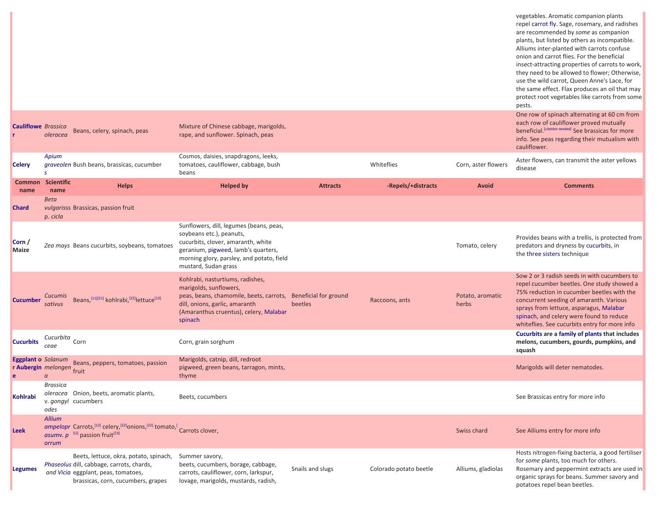|                                                        |                           |                                                                                                                                                                          |                                                                                                                                                                                                                       |                  |                        |                           | vegetables. Aromatic companion plants<br>repel carrot fly. Sage, rosemary, and radishes<br>are recommended by some as companion<br>plants, but listed by others as incompatible.<br>Alliums inter-planted with carrots confuse<br>onion and carrot flies. For the beneficial<br>insect-attracting properties of carrots to work,<br>they need to be allowed to flower; Otherwise,<br>use the wild carrot, Queen Anne's Lace, for<br>the same effect. Flax produces an oil that may<br>protect root vegetables like carrots from some<br>pests.<br>One row of spinach alternating at 60 cm from |
|--------------------------------------------------------|---------------------------|--------------------------------------------------------------------------------------------------------------------------------------------------------------------------|-----------------------------------------------------------------------------------------------------------------------------------------------------------------------------------------------------------------------|------------------|------------------------|---------------------------|------------------------------------------------------------------------------------------------------------------------------------------------------------------------------------------------------------------------------------------------------------------------------------------------------------------------------------------------------------------------------------------------------------------------------------------------------------------------------------------------------------------------------------------------------------------------------------------------|
| <b>Cauliflowe</b> Brassica                             | oleracea                  | Beans, celery, spinach, peas                                                                                                                                             | Mixture of Chinese cabbage, marigolds,<br>rape, and sunflower. Spinach, peas                                                                                                                                          |                  |                        |                           | each row of cauliflower proved mutually<br>beneficial. [citation needed] See brassicas for more<br>info. See peas regarding their mutualism with<br>cauliflower.                                                                                                                                                                                                                                                                                                                                                                                                                               |
| <b>Celery</b>                                          | Apium<br>s                | graveolen Bush beans, brassicas, cucumber                                                                                                                                | Cosmos, daisies, snapdragons, leeks,<br>tomatoes, cauliflower, cabbage, bush<br>beans                                                                                                                                 |                  | Whiteflies             | Corn, aster flowers       | Aster flowers, can transmit the aster yellows<br>disease                                                                                                                                                                                                                                                                                                                                                                                                                                                                                                                                       |
| <b>Common</b><br>name                                  | <b>Scientific</b><br>name | <b>Helps</b>                                                                                                                                                             | <b>Helped by</b>                                                                                                                                                                                                      | <b>Attracts</b>  | -Repels/+distracts     | Avoid                     | <b>Comments</b>                                                                                                                                                                                                                                                                                                                                                                                                                                                                                                                                                                                |
| <b>Chard</b>                                           | <b>Beta</b><br>p. cicla   | vulgarisss Brassicas, passion fruit                                                                                                                                      |                                                                                                                                                                                                                       |                  |                        |                           |                                                                                                                                                                                                                                                                                                                                                                                                                                                                                                                                                                                                |
| Corn /<br><b>Maize</b>                                 |                           | Zea mays Beans cucurbits, soybeans, tomatoes                                                                                                                             | Sunflowers, dill, legumes (beans, peas,<br>soybeans etc.), peanuts,<br>cucurbits, clover, amaranth, white<br>geranium, pigweed, lamb's quarters,<br>morning glory, parsley, and potato, field<br>mustard, Sudan grass |                  |                        | Tomato, celery            | Provides beans with a trellis, is protected from<br>predators and dryness by cucurbits, in<br>the three sisters technique                                                                                                                                                                                                                                                                                                                                                                                                                                                                      |
| <b>Cucumber</b>                                        | Cucumis<br>sativus        | Beans, [11][21] kohlrabi, [22] lettuce <sup>[13]</sup>                                                                                                                   | Kohlrabi, nasturtiums, radishes,<br>marigolds, sunflowers,<br>peas, beans, chamomile, beets, carrots, Beneficial for ground<br>dill, onions, garlic, amaranth<br>(Amaranthus cruentus), celery, Malabar<br>spinach    | beetles          | Raccoons, ants         | Potato, aromatic<br>herbs | Sow 2 or 3 radish seeds in with cucumbers to<br>repel cucumber beetles. One study showed a<br>75% reduction in cucumber beetles with the<br>concurrent seeding of amaranth. Various<br>sprays from lettuce, asparagus, Malabar<br>spinach, and celery were found to reduce<br>whiteflies. See cucurbits entry for more info                                                                                                                                                                                                                                                                    |
| <b>Cucurbits</b>                                       | Cucurbita<br>ceae         | Corn                                                                                                                                                                     | Corn, grain sorghum                                                                                                                                                                                                   |                  |                        |                           | Cucurbits are a family of plants that includes<br>melons, cucumbers, gourds, pumpkins, and<br>squash                                                                                                                                                                                                                                                                                                                                                                                                                                                                                           |
| <b>Eggplant o</b> Solanum<br>r Aubergin melongen fruit | $\alpha$                  | Beans, peppers, tomatoes, passion                                                                                                                                        | Marigolds, catnip, dill, redroot<br>pigweed, green beans, tarragon, mints,<br>thyme                                                                                                                                   |                  |                        |                           | Marigolds will deter nematodes.                                                                                                                                                                                                                                                                                                                                                                                                                                                                                                                                                                |
| Kohlrabi                                               | <b>Brassica</b><br>odes   | oleracea Onion, beets, aromatic plants,<br>v. gongyl cucumbers                                                                                                           | Beets, cucumbers                                                                                                                                                                                                      |                  |                        |                           | See Brassicas entry for more info                                                                                                                                                                                                                                                                                                                                                                                                                                                                                                                                                              |
| Leek                                                   | <b>Allium</b><br>orrum    | ampelopr Carrots, <sup>[13]</sup> celery, <sup>[22]</sup> onions, <sup>[22]</sup> tomato, <sup>[</sup> Carrots clover,<br>asumv. $p^{-52}$ passion fruit <sup>[23]</sup> |                                                                                                                                                                                                                       |                  |                        | Swiss chard               | See Alliums entry for more info                                                                                                                                                                                                                                                                                                                                                                                                                                                                                                                                                                |
| <b>Legumes</b>                                         |                           | Beets, lettuce, okra, potato, spinach,<br>Phaseolus dill, cabbage, carrots, chards,<br>and Vicia eggplant, peas, tomatoes,<br>brassicas, corn, cucumbers, grapes         | Summer savory,<br>beets, cucumbers, borage, cabbage,<br>carrots, cauliflower, corn, larkspur,<br>lovage, marigolds, mustards, radish,                                                                                 | Snails and slugs | Colorado potato beetle | Alliums, gladiolas        | Hosts nitrogen-fixing bacteria, a good fertiliser<br>for some plants, too much for others.<br>Rosemary and peppermint extracts are used in<br>organic sprays for beans. Summer savory and<br>potatoes repel bean beetles.                                                                                                                                                                                                                                                                                                                                                                      |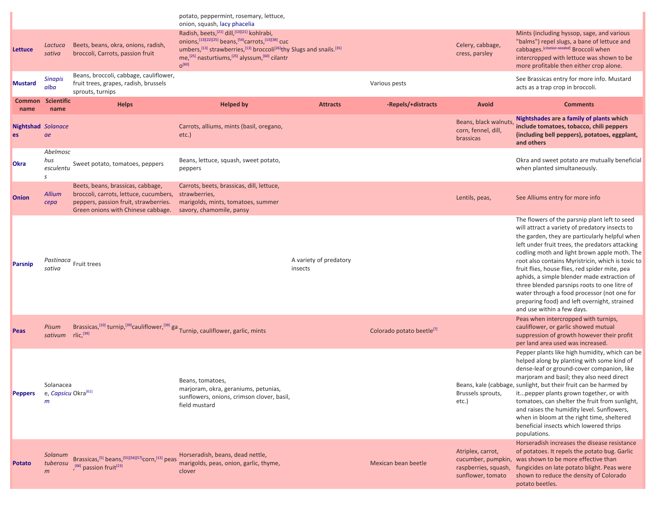|                                        |                                                   |                                                                                                                                                                          | potato, peppermint, rosemary, lettuce,                                                                                                                                                                                                                                                                                                     |                                   |                                       |                                                                |                                                                                                                                                                                                                                                                                                                                                                                                                                                                                                                                                                                         |
|----------------------------------------|---------------------------------------------------|--------------------------------------------------------------------------------------------------------------------------------------------------------------------------|--------------------------------------------------------------------------------------------------------------------------------------------------------------------------------------------------------------------------------------------------------------------------------------------------------------------------------------------|-----------------------------------|---------------------------------------|----------------------------------------------------------------|-----------------------------------------------------------------------------------------------------------------------------------------------------------------------------------------------------------------------------------------------------------------------------------------------------------------------------------------------------------------------------------------------------------------------------------------------------------------------------------------------------------------------------------------------------------------------------------------|
| Lettuce                                | Lactuca<br>sativa                                 | Beets, beans, okra, onions, radish,<br>broccoli, Carrots, passion fruit                                                                                                  | onion, squash, lacy phacelia<br>Radish, beets, [21] dill, [13][21] kohlrabi,<br>onions, [13][22][25] beans, [54]carrots, [13][38] cuc<br>umbers, [13] strawberries, [13] broccoli <sup>[26]</sup> thy Slugs and snails. <sup>[35]</sup><br>me, <sup>[25]</sup> nasturtiums, <sup>[25]</sup> alyssum, <sup>[60]</sup> cilantr<br>$O^{[60]}$ |                                   |                                       | Celery, cabbage,<br>cress, parsley                             | Mints (including hyssop, sage, and various<br>"balms") repel slugs, a bane of lettuce and<br>cabbages. [citation needed] Broccoli when<br>intercropped with lettuce was shown to be<br>more profitable then either crop alone.                                                                                                                                                                                                                                                                                                                                                          |
| <b>Mustard</b>                         | <b>Sinapis</b><br>alba                            | Beans, broccoli, cabbage, cauliflower,<br>fruit trees, grapes, radish, brussels<br>sprouts, turnips                                                                      |                                                                                                                                                                                                                                                                                                                                            |                                   | Various pests                         |                                                                | See Brassicas entry for more info. Mustard<br>acts as a trap crop in broccoli.                                                                                                                                                                                                                                                                                                                                                                                                                                                                                                          |
| <b>Common</b><br>name                  | <b>Scientific</b><br>name                         | <b>Helps</b>                                                                                                                                                             | <b>Helped by</b>                                                                                                                                                                                                                                                                                                                           | <b>Attracts</b>                   | -Repels/+distracts                    | <b>Avoid</b>                                                   | <b>Comments</b>                                                                                                                                                                                                                                                                                                                                                                                                                                                                                                                                                                         |
| <b>Nightshad</b> Solanace<br><b>es</b> | ae                                                |                                                                                                                                                                          | Carrots, alliums, mints (basil, oregano,<br>$etc.$ )                                                                                                                                                                                                                                                                                       |                                   |                                       | Beans, black walnuts,<br>corn, fennel, dill,<br>brassicas      | Nightshades are a family of plants which<br>include tomatoes, tobacco, chili peppers<br>(including bell peppers), potatoes, eggplant,<br>and others                                                                                                                                                                                                                                                                                                                                                                                                                                     |
| <b>Okra</b>                            | Abelmosc<br>hus<br>esculentu<br>S                 | Sweet potato, tomatoes, peppers                                                                                                                                          | Beans, lettuce, squash, sweet potato,<br>peppers                                                                                                                                                                                                                                                                                           |                                   |                                       |                                                                | Okra and sweet potato are mutually beneficial<br>when planted simultaneously.                                                                                                                                                                                                                                                                                                                                                                                                                                                                                                           |
| <b>Onion</b>                           | <b>Allium</b><br>cepa                             | Beets, beans, brassicas, cabbage,<br>broccoli, carrots, lettuce, cucumbers, strawberries,<br>peppers, passion fruit, strawberries.<br>Green onions with Chinese cabbage. | Carrots, beets, brassicas, dill, lettuce,<br>marigolds, mints, tomatoes, summer<br>savory, chamomile, pansy                                                                                                                                                                                                                                |                                   |                                       | Lentils, peas,                                                 | See Alliums entry for more info                                                                                                                                                                                                                                                                                                                                                                                                                                                                                                                                                         |
| <b>Parsnip</b>                         | sativa                                            | Pastinaca Fruit trees                                                                                                                                                    |                                                                                                                                                                                                                                                                                                                                            | A variety of predatory<br>insects |                                       |                                                                | The flowers of the parsnip plant left to seed<br>will attract a variety of predatory insects to<br>the garden, they are particularly helpful when<br>left under fruit trees, the predators attacking<br>codling moth and light brown apple moth. The<br>root also contains Myristricin, which is toxic to<br>fruit flies, house flies, red spider mite, pea<br>aphids, a simple blender made extraction of<br>three blended parsnips roots to one litre of<br>water through a food processor (not one for<br>preparing food) and left overnight, strained<br>and use within a few days. |
| Peas                                   | Pisum<br>sativum                                  | Brassicas, [10] turnip, [39] cauliflower, [39] ga Turnip, cauliflower, garlic, mints<br>$rlic,$ <sup>[39]</sup>                                                          |                                                                                                                                                                                                                                                                                                                                            |                                   | Colorado potato beetle <sup>[7]</sup> |                                                                | Peas when intercropped with turnips,<br>cauliflower, or garlic showed mutual<br>suppression of growth however their profit<br>per land area used was increased.                                                                                                                                                                                                                                                                                                                                                                                                                         |
| <b>Peppers</b>                         | Solanacea<br>e, Capsicu Okra <sup>[61]</sup><br>m |                                                                                                                                                                          | Beans, tomatoes,<br>marjoram, okra, geraniums, petunias,<br>sunflowers, onions, crimson clover, basil,<br>field mustard                                                                                                                                                                                                                    |                                   |                                       | Brussels sprouts,<br>etc.)                                     | Pepper plants like high humidity, which can be<br>helped along by planting with some kind of<br>dense-leaf or ground-cover companion, like<br>marjoram and basil; they also need direct<br>Beans, kale (cabbage, sunlight, but their fruit can be harmed by<br>it pepper plants grown together, or with<br>tomatoes, can shelter the fruit from sunlight,<br>and raises the humidity level. Sunflowers,<br>when in bloom at the right time, sheltered<br>beneficial insects which lowered thrips<br>populations.                                                                        |
| Potato                                 | Solanum<br>tuberosu<br>m                          | Brassicas, <sup>[5]</sup> beans, <sup>[55][56][57]</sup> corn, <sup>[13]</sup> peas<br>, <sup>[66]</sup> passion fruit <sup>[23]</sup>                                   | Horseradish, beans, dead nettle,<br>marigolds, peas, onion, garlic, thyme,<br>clover                                                                                                                                                                                                                                                       |                                   | Mexican bean beetle                   | Atriplex, carrot,<br>raspberries, squash,<br>sunflower, tomato | Horseradish increases the disease resistance<br>of potatoes. It repels the potato bug. Garlic<br>cucumber, pumpkin, was shown to be more effective than<br>fungicides on late potato blight. Peas were<br>shown to reduce the density of Colorado<br>potato beetles.                                                                                                                                                                                                                                                                                                                    |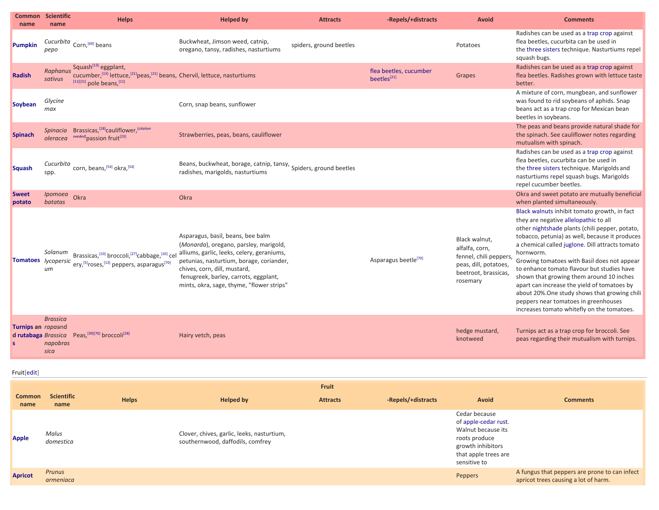| name                                      | <b>Common Scientific</b><br>name    | <b>Helps</b>                                                                                                                                               | <b>Helped by</b>                                                                                                                                                                                                                                                                            | <b>Attracts</b>         | -Repels/+distracts                                | <b>Avoid</b>                                                                                                           | <b>Comments</b>                                                                                                                                                                                                                                                                                                                                                                                                                                                                                                                                                                          |
|-------------------------------------------|-------------------------------------|------------------------------------------------------------------------------------------------------------------------------------------------------------|---------------------------------------------------------------------------------------------------------------------------------------------------------------------------------------------------------------------------------------------------------------------------------------------|-------------------------|---------------------------------------------------|------------------------------------------------------------------------------------------------------------------------|------------------------------------------------------------------------------------------------------------------------------------------------------------------------------------------------------------------------------------------------------------------------------------------------------------------------------------------------------------------------------------------------------------------------------------------------------------------------------------------------------------------------------------------------------------------------------------------|
| Pumpkin                                   | Cucurbita<br>pepo                   | Corn, [69] beans                                                                                                                                           | Buckwheat, Jimson weed, catnip,<br>oregano, tansy, radishes, nasturtiums                                                                                                                                                                                                                    | spiders, ground beetles |                                                   | Potatoes                                                                                                               | Radishes can be used as a trap crop against<br>flea beetles, cucurbita can be used in<br>the three sisters technique. Nasturtiums repel<br>squash bugs.                                                                                                                                                                                                                                                                                                                                                                                                                                  |
| <b>Radish</b>                             | sativus                             | Raphanus Squash <sup>[13]</sup> eggplant,<br>cucumber, [13] lettuce, [21] peas, [21] beans, Chervil, lettuce, nasturtiums<br>$[11][21]$ pole beans, $[11]$ |                                                                                                                                                                                                                                                                                             |                         | flea beetles, cucumber<br>beetles <sup>[21]</sup> | Grapes                                                                                                                 | Radishes can be used as a trap crop against<br>flea beetles. Radishes grown with lettuce taste<br>better.                                                                                                                                                                                                                                                                                                                                                                                                                                                                                |
| <b>Soybean</b>                            | Glycine<br>max                      |                                                                                                                                                            | Corn, snap beans, sunflower                                                                                                                                                                                                                                                                 |                         |                                                   |                                                                                                                        | A mixture of corn, mungbean, and sunflower<br>was found to rid soybeans of aphids. Snap<br>beans act as a trap crop for Mexican bean<br>beetles in soybeans.                                                                                                                                                                                                                                                                                                                                                                                                                             |
| <b>Spinach</b>                            | oleracea                            | Spinacia Brassicas, [18] cauliflower, [citation<br>needed] passion fruit <sup>[23]</sup>                                                                   | Strawberries, peas, beans, cauliflower                                                                                                                                                                                                                                                      |                         |                                                   |                                                                                                                        | The peas and beans provide natural shade for<br>the spinach. See cauliflower notes regarding<br>mutualism with spinach.                                                                                                                                                                                                                                                                                                                                                                                                                                                                  |
| <b>Squash</b>                             | Cucurbita<br>spp.                   | corn, beans, [54] okra, [54]                                                                                                                               | Beans, buckwheat, borage, catnip, tansy, Spiders, ground beetles<br>radishes, marigolds, nasturtiums                                                                                                                                                                                        |                         |                                                   |                                                                                                                        | Radishes can be used as a trap crop against<br>flea beetles, cucurbita can be used in<br>the three sisters technique. Marigolds and<br>nasturtiums repel squash bugs. Marigolds<br>repel cucumber beetles.                                                                                                                                                                                                                                                                                                                                                                               |
| <b>Sweet</b><br>potato                    | Ipomoea<br>batatas                  | Okra                                                                                                                                                       | Okra                                                                                                                                                                                                                                                                                        |                         |                                                   |                                                                                                                        | Okra and sweet potato are mutually beneficial<br>when planted simultaneously.                                                                                                                                                                                                                                                                                                                                                                                                                                                                                                            |
| Tomatoes lycopersic                       | Solanum<br>um                       | Brassicas, [10] broccoli, [27] cabbage, [10] cel<br>ery, [5] roses, [13] peppers, asparagus <sup>[70]</sup>                                                | Asparagus, basil, beans, bee balm<br>(Monarda), oregano, parsley, marigold,<br>alliums, garlic, leeks, celery, geraniums,<br>petunias, nasturtium, borage, coriander,<br>chives, corn, dill, mustard,<br>fenugreek, barley, carrots, eggplant,<br>mints, okra, sage, thyme, "flower strips" |                         | Asparagus beetle <sup>[70]</sup>                  | Black walnut,<br>alfalfa, corn,<br>fennel, chili peppers,<br>peas, dill, potatoes,<br>beetroot, brassicas,<br>rosemary | Black walnuts inhibit tomato growth, in fact<br>they are negative allelopathic to all<br>other nightshade plants (chili pepper, potato,<br>tobacco, petunia) as well, because it produces<br>a chemical called juglone. Dill attracts tomato<br>hornworm.<br>Growing tomatoes with Basil does not appear<br>to enhance tomato flavour but studies have<br>shown that growing them around 10 inches<br>apart can increase the yield of tomatoes by<br>about 20%. One study shows that growing chili<br>peppers near tomatoes in greenhouses<br>increases tomato whitefly on the tomatoes. |
| Turnips an rapaand<br>d rutabaga Brassica | <b>Brassica</b><br>napobras<br>sica | Peas, [39][70] broccoli <sup>[28]</sup>                                                                                                                    | Hairy vetch, peas                                                                                                                                                                                                                                                                           |                         |                                                   | hedge mustard,<br>knotweed                                                                                             | Turnips act as a trap crop for broccoli. See<br>peas regarding their mutualism with turnips.                                                                                                                                                                                                                                                                                                                                                                                                                                                                                             |

Fruit[\[edit\]](https://en.wikipedia.org/w/index.php?title=List_of_companion_plants&action=edit§ion=2)

| <b>Common</b><br>name | <b>Scientific</b><br>name | <b>Helps</b> | Helped by                                                                      | Fruit<br><b>Attracts</b> | -Repels/+distracts | <b>Avoid</b>                                                                                                                              | <b>Comments</b>                                                                       |
|-----------------------|---------------------------|--------------|--------------------------------------------------------------------------------|--------------------------|--------------------|-------------------------------------------------------------------------------------------------------------------------------------------|---------------------------------------------------------------------------------------|
| <b>Apple</b>          | Malus<br>domestica        |              | Clover, chives, garlic, leeks, nasturtium,<br>southernwood, daffodils, comfrey |                          |                    | Cedar because<br>of apple-cedar rust.<br>Walnut because its<br>roots produce<br>growth inhibitors<br>that apple trees are<br>sensitive to |                                                                                       |
| <b>Apricot</b>        | Prunus<br>armeniaca       |              |                                                                                |                          |                    | Peppers                                                                                                                                   | A fungus that peppers are prone to can infect<br>apricot trees causing a lot of harm. |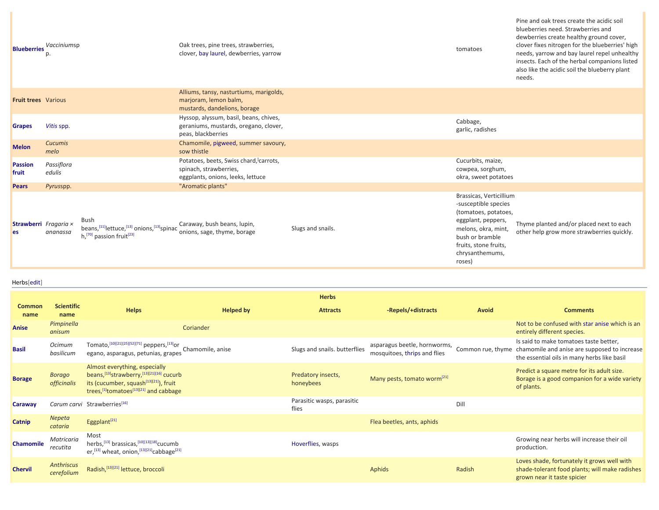| <b>Blueberries</b>          | Vacciniumsp<br>р.      |                                                                                                 | Oak trees, pine trees, strawberries,<br>clover, bay laurel, dewberries, yarrow                        |                   | tomatoes                                                                                                                                                                                      | blueberries need. Strawberries and<br>dewberries create healthy ground cover,<br>clover fixes nitrogen for the blueberries' high<br>needs, yarrow and bay laurel repel unhealthy<br>insects. Each of the herbal companions listed<br>also like the acidic soil the blueberry plant<br>needs. |
|-----------------------------|------------------------|-------------------------------------------------------------------------------------------------|-------------------------------------------------------------------------------------------------------|-------------------|-----------------------------------------------------------------------------------------------------------------------------------------------------------------------------------------------|----------------------------------------------------------------------------------------------------------------------------------------------------------------------------------------------------------------------------------------------------------------------------------------------|
| <b>Fruit trees</b> Various  |                        |                                                                                                 | Alliums, tansy, nasturtiums, marigolds,<br>marjoram, lemon balm,<br>mustards, dandelions, borage      |                   |                                                                                                                                                                                               |                                                                                                                                                                                                                                                                                              |
| <b>Grapes</b>               | Vitis spp.             |                                                                                                 | Hyssop, alyssum, basil, beans, chives,<br>geraniums, mustards, oregano, clover,<br>peas, blackberries |                   | Cabbage,<br>garlic, radishes                                                                                                                                                                  |                                                                                                                                                                                                                                                                                              |
| <b>Melon</b>                | <b>Cucumis</b><br>melo |                                                                                                 | Chamomile, pigweed, summer savoury,<br>sow thistle                                                    |                   |                                                                                                                                                                                               |                                                                                                                                                                                                                                                                                              |
| <b>Passion</b><br>fruit     | Passiflora<br>edulis   |                                                                                                 | Potatoes, beets, Swiss chard, carrots,<br>spinach, strawberries,<br>eggplants, onions, leeks, lettuce |                   | Cucurbits, maize,<br>cowpea, sorghum,<br>okra, sweet potatoes                                                                                                                                 |                                                                                                                                                                                                                                                                                              |
| <b>Pears</b>                | Pyrusspp.              |                                                                                                 | "Aromatic plants"                                                                                     |                   |                                                                                                                                                                                               |                                                                                                                                                                                                                                                                                              |
| Strawberri Fragaria ×<br>es | ananassa               | Bush<br>beans, [11] lettuce, [13] onions, [13] spinac<br>$h1[70]$ passion fruit <sup>[23]</sup> | Caraway, bush beans, lupin,<br>onions, sage, thyme, borage                                            | Slugs and snails. | Brassicas, Verticillium<br>-susceptible species<br>(tomatoes, potatoes,<br>eggplant, peppers,<br>melons, okra, mint,<br>bush or bramble<br>fruits, stone fruits,<br>chrysanthemums,<br>roses) | Thyme planted and/or placed next to each<br>other help grow more strawberries quickly.                                                                                                                                                                                                       |

Pine and oak trees create the acidic soil

## Herbs[[edit\]](https://en.wikipedia.org/w/index.php?title=List_of_companion_plants&action=edit§ion=3)

|                       |                                     |                                                                                                                                                                                           |                  | <b>Herbs</b>                        |                                                              |        |                                                                                                                                                         |
|-----------------------|-------------------------------------|-------------------------------------------------------------------------------------------------------------------------------------------------------------------------------------------|------------------|-------------------------------------|--------------------------------------------------------------|--------|---------------------------------------------------------------------------------------------------------------------------------------------------------|
| <b>Common</b><br>name | <b>Scientific</b><br>name           | <b>Helps</b>                                                                                                                                                                              | <b>Helped by</b> | <b>Attracts</b>                     | -Repels/+distracts                                           | Avoid  | <b>Comments</b>                                                                                                                                         |
| Anise                 | Pimpinella<br>anisum                |                                                                                                                                                                                           | Coriander        |                                     |                                                              |        | Not to be confused with star anise which is an<br>entirely different species.                                                                           |
| <b>Basil</b>          | <b>Ocimum</b><br>basilicum          | Tomato, [10][21][25][52][71] peppers, [13] or<br>egano, asparagus, petunias, grapes                                                                                                       | Chamomile, anise | Slugs and snails. butterflies       | asparagus beetle, hornworms,<br>mosquitoes, thrips and flies |        | Is said to make tomatoes taste better,<br>Common rue, thyme chamomile and anise are supposed to increase<br>the essential oils in many herbs like basil |
| <b>Borage</b>         | <b>Borago</b><br><i>officinalis</i> | Almost everything, especially<br>beans, [13] strawberry, [13][21][16] cucurb<br>its (cucumber, squash <sup>[13][21]</sup> ), fruit<br>trees, [1] tomatoes <sup>[13][21]</sup> and cabbage |                  | Predatory insects,<br>honeybees     | Many pests, tomato worm <sup>[21]</sup>                      |        | Predict a square metre for its adult size.<br>Borage is a good companion for a wide variety<br>of plants.                                               |
| <b>Caraway</b>        |                                     | Carum carvi Strawberries[16]                                                                                                                                                              |                  | Parasitic wasps, parasitic<br>flies |                                                              | Dil    |                                                                                                                                                         |
| Catnip                | <b>Nepeta</b><br>cataria            | Eggplant <sup>[21]</sup>                                                                                                                                                                  |                  |                                     | Flea beetles, ants, aphids                                   |        |                                                                                                                                                         |
| <b>Chamomile</b>      | Matricaria<br>recutita              | Most<br>herbs, [13] brassicas, [10][13][18] cucumb<br>er, [13] wheat, onion, [13][21] cabbage <sup>[21]</sup>                                                                             |                  | Hoverflies, wasps                   |                                                              |        | Growing near herbs will increase their oil<br>production.                                                                                               |
| <b>Chervil</b>        | <b>Anthriscus</b><br>cerefolium     | Radish, [13][21] lettuce, broccoli                                                                                                                                                        |                  |                                     | Aphids                                                       | Radish | Loves shade, fortunately it grows well with<br>shade-tolerant food plants; will make radishes<br>grown near it taste spicier                            |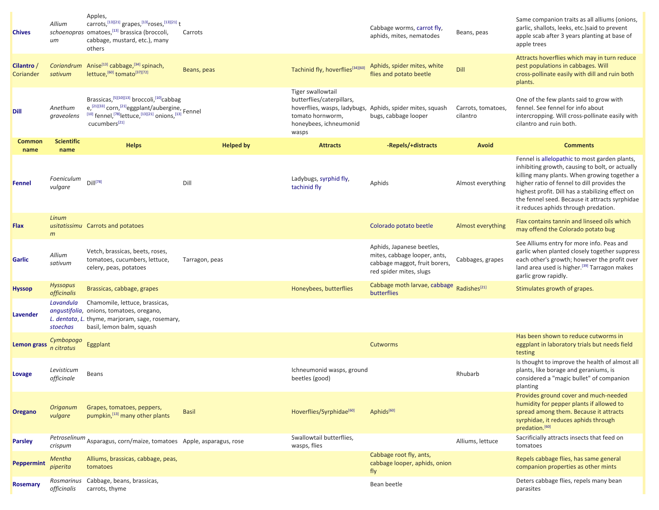| <b>Chives</b>         | Allium<br>иm                   | Apples,<br>carrots, [13][21] grapes, [13] roses, [13][21] t<br>schoenopras omatoes, [13] brassica (broccoli,<br>cabbage, mustard, etc.), many<br>others                                                                                     | Carrots          |                                                                                                       | Cabbage worms, carrot fly,<br>aphids, mites, nematodes                                                                | Beans, peas                    | Same companion traits as all alliums (onions,<br>garlic, shallots, leeks, etc.) said to prevent<br>apple scab after 3 years planting at base of<br>apple trees                                                                                                                                                                                |
|-----------------------|--------------------------------|---------------------------------------------------------------------------------------------------------------------------------------------------------------------------------------------------------------------------------------------|------------------|-------------------------------------------------------------------------------------------------------|-----------------------------------------------------------------------------------------------------------------------|--------------------------------|-----------------------------------------------------------------------------------------------------------------------------------------------------------------------------------------------------------------------------------------------------------------------------------------------------------------------------------------------|
| Cilantro<br>Coriander | Coriandrum<br>sativum          | Anise <sup>[13]</sup> cabbage, <sup>[34]</sup> spinach,<br>lettuce, [60] tomato <sup>[37][72]</sup>                                                                                                                                         | Beans, peas      | Tachinid fly, hoverflies[34][60]                                                                      | Aphids, spider mites, white<br>flies and potato beetle                                                                | Dill                           | Attracts hoverflies which may in turn reduce<br>pest populations in cabbages. Will<br>cross-pollinate easily with dill and ruin both<br>plants.                                                                                                                                                                                               |
| <b>Dill</b>           | Anethum<br>graveolens          | Brassicas, [5][10][13] broccoli, [10] <sub>cabbag</sub><br>$e^{[21][33]}$ corn, $^{[21]}$ eggplant/aubergine, Fennel<br>$^{[10]}$ fennel, <sup>[78]</sup> lettuce, <sup>[13][21]</sup> onions, <sup>[13]</sup><br>cucumbers <sup>[21]</sup> |                  | Tiger swallowtail<br>butterflies/caterpillars,<br>tomato hornworm,<br>honeybees, ichneumonid<br>wasps | hoverflies, wasps, ladybugs, Aphids, spider mites, squash<br>bugs, cabbage looper                                     | Carrots, tomatoes,<br>cilantro | One of the few plants said to grow with<br>fennel. See fennel for info about<br>intercropping. Will cross-pollinate easily with<br>cilantro and ruin both.                                                                                                                                                                                    |
| Common<br>name        | <b>Scientific</b><br>name      | <b>Helps</b>                                                                                                                                                                                                                                | <b>Helped by</b> | <b>Attracts</b>                                                                                       | -Repels/+distracts                                                                                                    | <b>Avoid</b>                   | <b>Comments</b>                                                                                                                                                                                                                                                                                                                               |
| Fennel                | Foeniculum<br>vulgare          | $DiII^{[78]}$                                                                                                                                                                                                                               | Dill             | Ladybugs, syrphid fly,<br>tachinid fly                                                                | Aphids                                                                                                                | Almost everything              | Fennel is allelopathic to most garden plants,<br>inhibiting growth, causing to bolt, or actually<br>killing many plants. When growing together a<br>higher ratio of fennel to dill provides the<br>highest profit. Dill has a stabilizing effect on<br>the fennel seed. Because it attracts syrphidae<br>it reduces aphids through predation. |
| <b>Flax</b>           | Linum<br>m                     | usitatissimu Carrots and potatoes                                                                                                                                                                                                           |                  |                                                                                                       | Colorado potato beetle                                                                                                | Almost everything              | Flax contains tannin and linseed oils which<br>may offend the Colorado potato bug                                                                                                                                                                                                                                                             |
| <b>Garlic</b>         | Allium<br>sativum              | Vetch, brassicas, beets, roses,<br>tomatoes, cucumbers, lettuce,<br>celery, peas, potatoes                                                                                                                                                  | Tarragon, peas   |                                                                                                       | Aphids, Japanese beetles,<br>mites, cabbage looper, ants,<br>cabbage maggot, fruit borers,<br>red spider mites, slugs | Cabbages, grapes               | See Alliums entry for more info. Peas and<br>garlic when planted closely together suppress<br>each other's growth; however the profit over<br>land area used is higher. <sup>[39]</sup> Tarragon makes<br>garlic grow rapidly.                                                                                                                |
| <b>Hyssop</b>         | <b>Hyssopus</b><br>officinalis | Brassicas, cabbage, grapes                                                                                                                                                                                                                  |                  | Honeybees, butterflies                                                                                | Cabbage moth larvae, cabbage Radishes <sup>[21]</sup><br>butterflies                                                  |                                | Stimulates growth of grapes.                                                                                                                                                                                                                                                                                                                  |
| Lavender              | Lavandula<br>stoechas          | Chamomile, lettuce, brassicas,<br>anqustifolia, onions, tomatoes, oregano,<br>L. dentata, L. thyme, marjoram, sage, rosemary,<br>basil, lemon balm, squash                                                                                  |                  |                                                                                                       |                                                                                                                       |                                |                                                                                                                                                                                                                                                                                                                                               |
| Lemon grass           | Cymbopogo<br>n citratus        | Eggplant                                                                                                                                                                                                                                    |                  |                                                                                                       | Cutworms                                                                                                              |                                | Has been shown to reduce cutworms in<br>eggplant in laboratory trials but needs field<br>testing                                                                                                                                                                                                                                              |
| Lovage                | Levisticum<br>officinale       | Beans                                                                                                                                                                                                                                       |                  | Ichneumonid wasps, ground<br>beetles (good)                                                           |                                                                                                                       | Rhubarb                        | Is thought to improve the health of almost all<br>plants, like borage and geraniums, is<br>considered a "magic bullet" of companion<br>planting                                                                                                                                                                                               |
| <b>Oregano</b>        | <b>Origanum</b><br>vulgare     | Grapes, tomatoes, peppers,<br>pumpkin, [13] many other plants                                                                                                                                                                               | <b>Basil</b>     | Hoverflies/Syrphidae[60]                                                                              | Aphids <sup>[60]</sup>                                                                                                |                                | Provides ground cover and much-needed<br>humidity for pepper plants if allowed to<br>spread among them. Because it attracts<br>syrphidae, it reduces aphids through<br>predation. <sup>[60]</sup>                                                                                                                                             |
| <b>Parsley</b>        | crispum                        | Petroselinum Asparagus, corn/maize, tomatoes Apple, asparagus, rose                                                                                                                                                                         |                  | Swallowtail butterflies,<br>wasps, flies                                                              |                                                                                                                       | Alliums, lettuce               | Sacrificially attracts insects that feed on<br>tomatoes                                                                                                                                                                                                                                                                                       |
| <b>Peppermint</b>     | Mentha<br>piperita             | Alliums, brassicas, cabbage, peas,<br>tomatoes                                                                                                                                                                                              |                  |                                                                                                       | Cabbage root fly, ants,<br>cabbage looper, aphids, onion<br>fly                                                       |                                | Repels cabbage flies, has same general<br>companion properties as other mints                                                                                                                                                                                                                                                                 |
| <b>Rosemary</b>       | officinalis                    | Rosmarinus Cabbage, beans, brassicas,<br>carrots, thyme                                                                                                                                                                                     |                  |                                                                                                       | Bean beetle                                                                                                           |                                | Deters cabbage flies, repels many bean<br>parasites                                                                                                                                                                                                                                                                                           |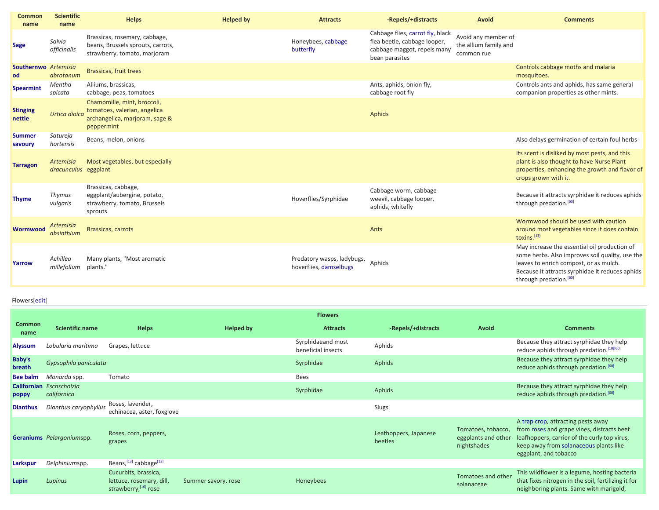| <b>Common</b><br>name      | <b>Scientific</b><br>name                | <b>Helps</b>                                                                                                | <b>Helped by</b> | <b>Attracts</b>                                      | -Repels/+distracts                                                                                                | Avoid                                                      | <b>Comments</b>                                                                                                                                                                                                                    |
|----------------------------|------------------------------------------|-------------------------------------------------------------------------------------------------------------|------------------|------------------------------------------------------|-------------------------------------------------------------------------------------------------------------------|------------------------------------------------------------|------------------------------------------------------------------------------------------------------------------------------------------------------------------------------------------------------------------------------------|
| <b>Sage</b>                | Salvia<br>officinalis                    | Brassicas, rosemary, cabbage,<br>beans, Brussels sprouts, carrots,<br>strawberry, tomato, marjoram          |                  | Honeybees, cabbage<br>butterfly                      | Cabbage flies, carrot fly, black<br>flea beetle, cabbage looper,<br>cabbage maggot, repels many<br>bean parasites | Avoid any member of<br>the allium family and<br>common rue |                                                                                                                                                                                                                                    |
| Southernwo Artemisia<br>od | abrotanum                                | Brassicas, fruit trees                                                                                      |                  |                                                      |                                                                                                                   |                                                            | Controls cabbage moths and malaria<br>mosquitoes.                                                                                                                                                                                  |
| <b>Spearmint</b>           | Mentha<br>spicata                        | Alliums, brassicas,<br>cabbage, peas, tomatoes                                                              |                  |                                                      | Ants, aphids, onion fly,<br>cabbage root fly                                                                      |                                                            | Controls ants and aphids, has same general<br>companion properties as other mints.                                                                                                                                                 |
| <b>Stinging</b><br>nettle  | Urtica dioica                            | Chamomille, mint, broccoli,<br>tomatoes, valerian, angelica<br>archangelica, marjoram, sage &<br>peppermint |                  |                                                      | Aphids                                                                                                            |                                                            |                                                                                                                                                                                                                                    |
| <b>Summer</b><br>savoury   | Satureja<br>hortensis                    | Beans, melon, onions                                                                                        |                  |                                                      |                                                                                                                   |                                                            | Also delays germination of certain foul herbs                                                                                                                                                                                      |
| <b>Tarragon</b>            | <b>Artemisia</b><br>dracunculus eggplant | Most vegetables, but especially                                                                             |                  |                                                      |                                                                                                                   |                                                            | Its scent is disliked by most pests, and this<br>plant is also thought to have Nurse Plant<br>properties, enhancing the growth and flavor of<br>crops grown with it.                                                               |
| <b>Thyme</b>               | Thymus<br>vulgaris                       | Brassicas, cabbage,<br>eggplant/aubergine, potato,<br>strawberry, tomato, Brussels<br>sprouts               |                  | Hoverflies/Syrphidae                                 | Cabbage worm, cabbage<br>weevil, cabbage looper,<br>aphids, whitefly                                              |                                                            | Because it attracts syrphidae it reduces aphids<br>through predation. <sup>[60]</sup>                                                                                                                                              |
| <b>Wormwood</b>            | <b>Artemisia</b><br>absinthium           | <b>Brassicas, carrots</b>                                                                                   |                  |                                                      | Ants                                                                                                              |                                                            | Wormwood should be used with caution<br>around most vegetables since it does contain<br>toxins.[13]                                                                                                                                |
| Yarrow                     | Achillea<br>millefolium                  | Many plants, "Most aromatic<br>plants.'                                                                     |                  | Predatory wasps, ladybugs,<br>hoverflies, damselbugs | Aphids                                                                                                            |                                                            | May increase the essential oil production of<br>some herbs. Also improves soil quality, use the<br>leaves to enrich compost, or as mulch.<br>Because it attracts syrphidae it reduces aphids<br>through predation. <sup>[60]</sup> |

## Flowers[\[edit\]](https://en.wikipedia.org/w/index.php?title=List_of_companion_plants&action=edit§ion=4)

|                       |                                         |                                                                                      |                     | <b>Flowers</b>                          |                                  |                                                          |                                                                                                                                                                                                     |
|-----------------------|-----------------------------------------|--------------------------------------------------------------------------------------|---------------------|-----------------------------------------|----------------------------------|----------------------------------------------------------|-----------------------------------------------------------------------------------------------------------------------------------------------------------------------------------------------------|
| <b>Common</b><br>name | <b>Scientific name</b>                  | <b>Helps</b>                                                                         | <b>Helped by</b>    | <b>Attracts</b>                         | -Repels/+distracts               | Avoid                                                    | <b>Comments</b>                                                                                                                                                                                     |
| <b>Alyssum</b>        | Lobularia maritima                      | Grapes, lettuce                                                                      |                     | Syrphidaeand most<br>beneficial insects | Aphids                           |                                                          | Because they attract syrphidae they help<br>reduce aphids through predation. [10][60]                                                                                                               |
| Baby's<br>breath      | Gypsophila paniculata                   |                                                                                      |                     | Syrphidae                               | Aphids                           |                                                          | Because they attract syrphidae they help<br>reduce aphids through predation. <sup>[60]</sup>                                                                                                        |
| <b>Bee balm</b>       | Monarda spp.                            | Tomato                                                                               |                     | <b>Bees</b>                             |                                  |                                                          |                                                                                                                                                                                                     |
| poppy                 | Californian Eschscholzia<br>californica |                                                                                      |                     | Syrphidae                               | Aphids                           |                                                          | Because they attract syrphidae they help<br>reduce aphids through predation. <sup>[60]</sup>                                                                                                        |
| <b>Dianthus</b>       | Dianthus caryophyllus                   | Roses, lavender,<br>echinacea, aster, foxglove                                       |                     |                                         | Slugs                            |                                                          |                                                                                                                                                                                                     |
|                       | Geraniums Pelargoniumspp.               | Roses, corn, peppers,<br>grapes                                                      |                     |                                         | Leafhoppers, Japanese<br>beetles | Tomatoes, tobacco,<br>eggplants and other<br>nightshades | A trap crop, attracting pests away<br>from roses and grape vines, distracts beet<br>leafhoppers, carrier of the curly top virus,<br>keep away from solanaceous plants like<br>eggplant, and tobacco |
| Larkspur              | Delphiniumspp.                          | Beans, [13] cabbage <sup>[13]</sup>                                                  |                     |                                         |                                  |                                                          |                                                                                                                                                                                                     |
| Lupin                 | Lupinus                                 | Cucurbits, brassica,<br>lettuce, rosemary, dill,<br>strawberry, <sup>[16]</sup> rose | Summer savory, rose | Honeybees                               |                                  | Tomatoes and other<br>solanaceae                         | This wildflower is a legume, hosting bacteria<br>that fixes nitrogen in the soil, fertilizing it for<br>neighboring plants. Same with marigold,                                                     |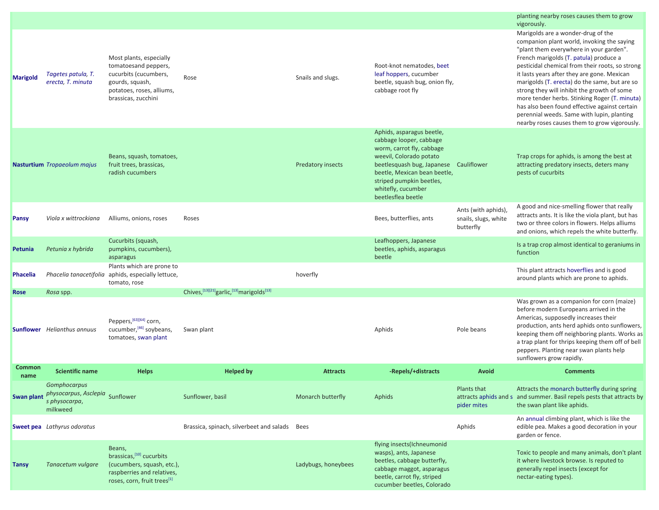|                       |                                                                                     |                                                                                                                                                 |                                                         |                          |                                                                                                                                                                                                                                                                |                                                          | planting nearby roses causes them to grow<br>vigorously.                                                                                                                                                                                                                                                                                                                                                                                                                                                                                                                |
|-----------------------|-------------------------------------------------------------------------------------|-------------------------------------------------------------------------------------------------------------------------------------------------|---------------------------------------------------------|--------------------------|----------------------------------------------------------------------------------------------------------------------------------------------------------------------------------------------------------------------------------------------------------------|----------------------------------------------------------|-------------------------------------------------------------------------------------------------------------------------------------------------------------------------------------------------------------------------------------------------------------------------------------------------------------------------------------------------------------------------------------------------------------------------------------------------------------------------------------------------------------------------------------------------------------------------|
| <b>Marigold</b>       | Tagetes patula, T.<br>erecta, T. minuta                                             | Most plants, especially<br>tomatoesand peppers,<br>cucurbits (cucumbers,<br>gourds, squash,<br>potatoes, roses, alliums,<br>brassicas, zucchini | Rose                                                    | Snails and slugs.        | Root-knot nematodes, beet<br>leaf hoppers, cucumber<br>beetle, squash bug, onion fly,<br>cabbage root fly                                                                                                                                                      |                                                          | Marigolds are a wonder-drug of the<br>companion plant world, invoking the saying<br>"plant them everywhere in your garden".<br>French marigolds (T. patula) produce a<br>pesticidal chemical from their roots, so strong<br>it lasts years after they are gone. Mexican<br>marigolds (T. erecta) do the same, but are so<br>strong they will inhibit the growth of some<br>more tender herbs. Stinking Roger (T. minuta)<br>has also been found effective against certain<br>perennial weeds. Same with lupin, planting<br>nearby roses causes them to grow vigorously. |
|                       | <b>Nasturtium</b> Tropaeolum majus                                                  | Beans, squash, tomatoes,<br>fruit trees, brassicas,<br>radish cucumbers                                                                         |                                                         | <b>Predatory insects</b> | Aphids, asparagus beetle,<br>cabbage looper, cabbage<br>worm, carrot fly, cabbage<br>weevil, Colorado potato<br>beetlesquash bug, Japanese Cauliflower<br>beetle, Mexican bean beetle,<br>striped pumpkin beetles,<br>whitefly, cucumber<br>beetlesflea beetle |                                                          | Trap crops for aphids, is among the best at<br>attracting predatory insects, deters many<br>pests of cucurbits                                                                                                                                                                                                                                                                                                                                                                                                                                                          |
| <b>Pansy</b>          | Viola x wittrockiana                                                                | Alliums, onions, roses                                                                                                                          | Roses                                                   |                          | Bees, butterflies, ants                                                                                                                                                                                                                                        | Ants (with aphids),<br>snails, slugs, white<br>butterfly | A good and nice-smelling flower that really<br>attracts ants. It is like the viola plant, but has<br>two or three colors in flowers. Helps alliums<br>and onions, which repels the white butterfly.                                                                                                                                                                                                                                                                                                                                                                     |
| Petunia               | Petunia x hybrida                                                                   | Cucurbits (squash,<br>pumpkins, cucumbers),<br>asparagus                                                                                        |                                                         |                          | Leafhoppers, Japanese<br>beetles, aphids, asparagus<br>beetle                                                                                                                                                                                                  |                                                          | Is a trap crop almost identical to geraniums in<br>function                                                                                                                                                                                                                                                                                                                                                                                                                                                                                                             |
| <b>Phacelia</b>       |                                                                                     | Plants which are prone to<br>Phacelia tanacetifolia aphids, especially lettuce,<br>tomato, rose                                                 |                                                         | hoverfly                 |                                                                                                                                                                                                                                                                |                                                          | This plant attracts hoverflies and is good<br>around plants which are prone to aphids.                                                                                                                                                                                                                                                                                                                                                                                                                                                                                  |
| <b>Rose</b>           | Rosa spp.                                                                           |                                                                                                                                                 | Chives, [13][21] garlic, [13] marigolds <sup>[13]</sup> |                          |                                                                                                                                                                                                                                                                |                                                          |                                                                                                                                                                                                                                                                                                                                                                                                                                                                                                                                                                         |
|                       | <b>Sunflower</b> Helianthus annuus                                                  | Peppers, [63][64] corn,<br>cucumber, [46] soybeans,<br>tomatoes, swan plant                                                                     | Swan plant                                              |                          | Aphids                                                                                                                                                                                                                                                         | Pole beans                                               | Was grown as a companion for corn (maize)<br>before modern Europeans arrived in the<br>Americas, supposedly increases their<br>production, ants herd aphids onto sunflowers,<br>keeping them off neighboring plants. Works as<br>a trap plant for thrips keeping them off of bell<br>peppers. Planting near swan plants help<br>sunflowers grow rapidly.                                                                                                                                                                                                                |
| <b>Common</b><br>name | <b>Scientific name</b>                                                              | <b>Helps</b>                                                                                                                                    | <b>Helped by</b>                                        | <b>Attracts</b>          | -Repels/+distracts                                                                                                                                                                                                                                             | <b>Avoid</b>                                             | <b>Comments</b>                                                                                                                                                                                                                                                                                                                                                                                                                                                                                                                                                         |
| <b>Swan plant</b>     | <b>Gomphocarpus</b><br>physocarpus, Asclepia Sunflower<br>s physocarpa,<br>milkweed |                                                                                                                                                 | Sunflower, basil                                        | Monarch butterfly        | Aphids                                                                                                                                                                                                                                                         | Plants that<br>pider mites                               | Attracts the monarch butterfly during spring<br>attracts aphids and s and summer. Basil repels pests that attracts by<br>the swan plant like aphids.                                                                                                                                                                                                                                                                                                                                                                                                                    |
|                       | <b>Sweet pea</b> Lathyrus odoratus                                                  |                                                                                                                                                 | Brassica, spinach, silverbeet and salads Bees           |                          |                                                                                                                                                                                                                                                                | Aphids                                                   | An annual climbing plant, which is like the<br>edible pea. Makes a good decoration in your<br>garden or fence.                                                                                                                                                                                                                                                                                                                                                                                                                                                          |
| <b>Tansy</b>          | Tanacetum vulgare                                                                   | Beans,<br>brassicas, [10] cucurbits<br>(cucumbers, squash, etc.),<br>raspberries and relatives,<br>roses, corn, fruit trees <sup>[1]</sup>      |                                                         | Ladybugs, honeybees      | flying insects(Ichneumonid<br>wasps), ants, Japanese<br>beetles, cabbage butterfly,<br>cabbage maggot, asparagus<br>beetle, carrot fly, striped<br>cucumber beetles, Colorado                                                                                  |                                                          | Toxic to people and many animals, don't plant<br>it where livestock browse. Is reputed to<br>generally repel insects (except for<br>nectar-eating types).                                                                                                                                                                                                                                                                                                                                                                                                               |